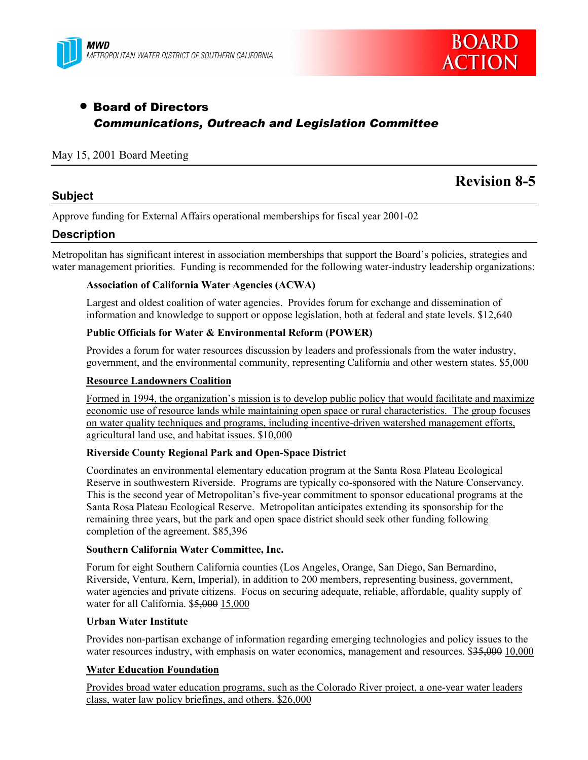



## • Board of Directors *Communications, Outreach and Legislation Committee*

#### May 15, 2001 Board Meeting

#### **Subject**

# **Revision 8-5**

Approve funding for External Affairs operational memberships for fiscal year 2001-02

### **Description**

Metropolitan has significant interest in association memberships that support the Board's policies, strategies and water management priorities. Funding is recommended for the following water-industry leadership organizations:

#### **Association of California Water Agencies (ACWA)**

Largest and oldest coalition of water agencies. Provides forum for exchange and dissemination of information and knowledge to support or oppose legislation, both at federal and state levels. \$12,640

#### **Public Officials for Water & Environmental Reform (POWER)**

Provides a forum for water resources discussion by leaders and professionals from the water industry, government, and the environmental community, representing California and other western states. \$5,000

#### **Resource Landowners Coalition**

Formed in 1994, the organization's mission is to develop public policy that would facilitate and maximize economic use of resource lands while maintaining open space or rural characteristics. The group focuses on water quality techniques and programs, including incentive-driven watershed management efforts, agricultural land use, and habitat issues. \$10,000

#### **Riverside County Regional Park and Open-Space District**

Coordinates an environmental elementary education program at the Santa Rosa Plateau Ecological Reserve in southwestern Riverside. Programs are typically co-sponsored with the Nature Conservancy. This is the second year of Metropolitan's five-year commitment to sponsor educational programs at the Santa Rosa Plateau Ecological Reserve. Metropolitan anticipates extending its sponsorship for the remaining three years, but the park and open space district should seek other funding following completion of the agreement. \$85,396

#### **Southern California Water Committee, Inc.**

Forum for eight Southern California counties (Los Angeles, Orange, San Diego, San Bernardino, Riverside, Ventura, Kern, Imperial), in addition to 200 members, representing business, government, water agencies and private citizens. Focus on securing adequate, reliable, affordable, quality supply of water for all California. \$5,000 15,000

#### **Urban Water Institute**

Provides non-partisan exchange of information regarding emerging technologies and policy issues to the water resources industry, with emphasis on water economics, management and resources. \$35,000 10,000

#### **Water Education Foundation**

Provides broad water education programs, such as the Colorado River project, a one-year water leaders class, water law policy briefings, and others. \$26,000